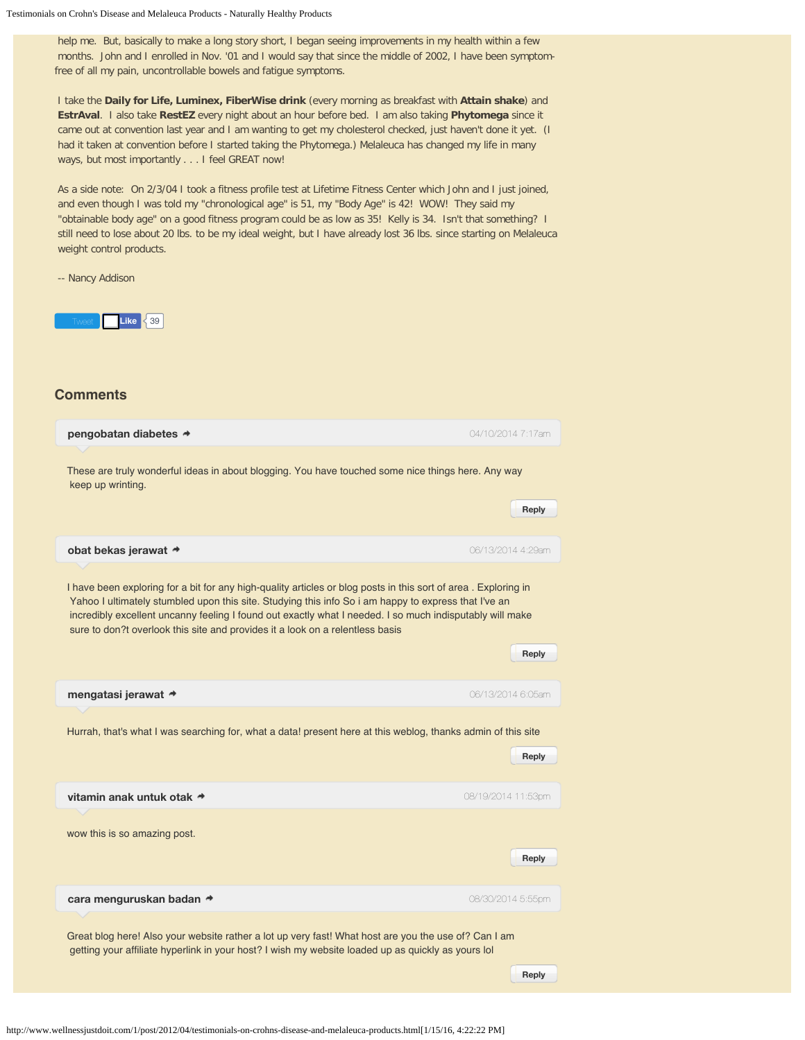$\Box$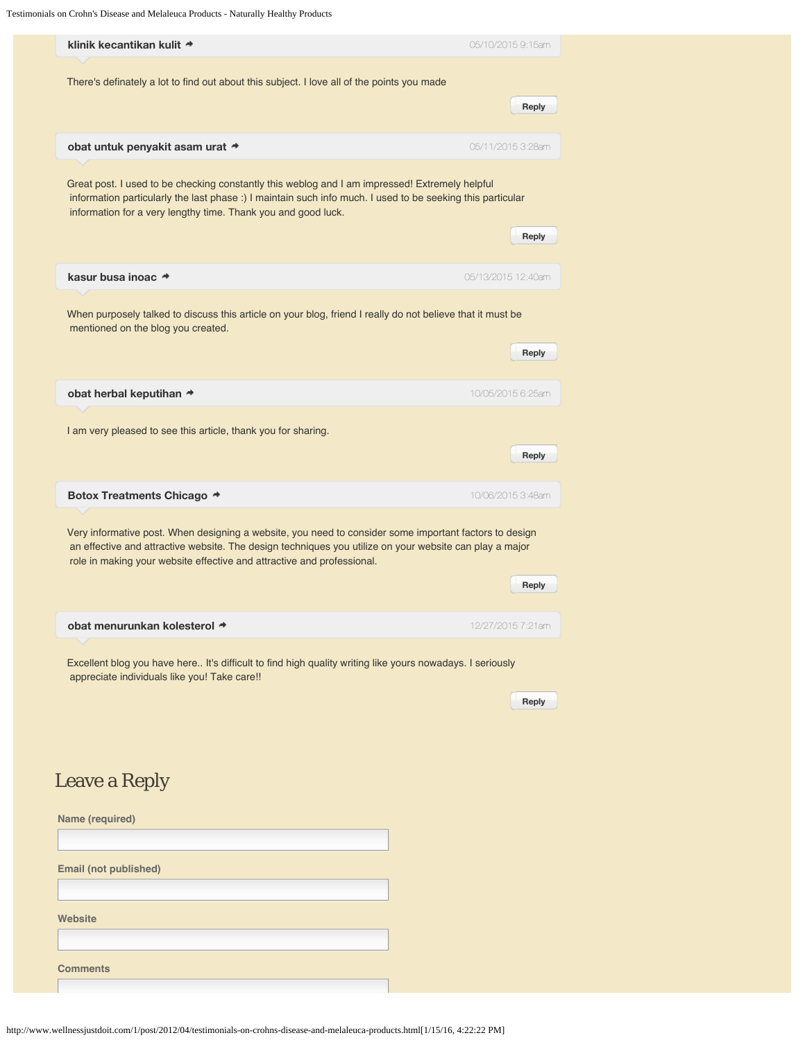Testimonials on Crohn's Disease and Melaleuca Products - Naturally Healthy Products

| klinik kecantikan kulit *                                                                                                                                                                                                                                                                   | 05/10/2015 9:15am  |  |
|---------------------------------------------------------------------------------------------------------------------------------------------------------------------------------------------------------------------------------------------------------------------------------------------|--------------------|--|
| There's definately a lot to find out about this subject. I love all of the points you made                                                                                                                                                                                                  |                    |  |
|                                                                                                                                                                                                                                                                                             | Reply              |  |
| obat untuk penyakit asam urat                                                                                                                                                                                                                                                               | 05/11/2015 3:28am  |  |
|                                                                                                                                                                                                                                                                                             |                    |  |
| Great post. I used to be checking constantly this weblog and I am impressed! Extremely helpful<br>information particularly the last phase :) I maintain such info much. I used to be seeking this particular<br>information for a very lengthy time. Thank you and good luck.               |                    |  |
|                                                                                                                                                                                                                                                                                             | Reply              |  |
| kasur busa inoac *                                                                                                                                                                                                                                                                          | 05/13/2015 12:40am |  |
| When purposely talked to discuss this article on your blog, friend I really do not believe that it must be<br>mentioned on the blog you created.                                                                                                                                            |                    |  |
|                                                                                                                                                                                                                                                                                             | Reply              |  |
| obat herbal keputihan *                                                                                                                                                                                                                                                                     | 10/05/2015 6:25am  |  |
| I am very pleased to see this article, thank you for sharing.                                                                                                                                                                                                                               |                    |  |
|                                                                                                                                                                                                                                                                                             | Reply              |  |
| Botox Treatments Chicago *                                                                                                                                                                                                                                                                  | 10/06/2015 3:48am  |  |
| Very informative post. When designing a website, you need to consider some important factors to design<br>an effective and attractive website. The design techniques you utilize on your website can play a major<br>role in making your website effective and attractive and professional. |                    |  |
|                                                                                                                                                                                                                                                                                             | Reply              |  |
| obat menurunkan kolesterol →                                                                                                                                                                                                                                                                | 12/27/2015 7:21am  |  |
| Excellent blog you have here It's difficult to find high quality writing like yours nowadays. I seriously<br>appreciate individuals like you! Take care!!                                                                                                                                   |                    |  |
|                                                                                                                                                                                                                                                                                             | Reply              |  |
|                                                                                                                                                                                                                                                                                             |                    |  |
|                                                                                                                                                                                                                                                                                             |                    |  |
| <b>Leave a Reply</b>                                                                                                                                                                                                                                                                        |                    |  |
| Name (required)                                                                                                                                                                                                                                                                             |                    |  |
| Email (not published)                                                                                                                                                                                                                                                                       |                    |  |
|                                                                                                                                                                                                                                                                                             |                    |  |
| Website                                                                                                                                                                                                                                                                                     |                    |  |
|                                                                                                                                                                                                                                                                                             |                    |  |
| <b>Comments</b>                                                                                                                                                                                                                                                                             |                    |  |
|                                                                                                                                                                                                                                                                                             |                    |  |